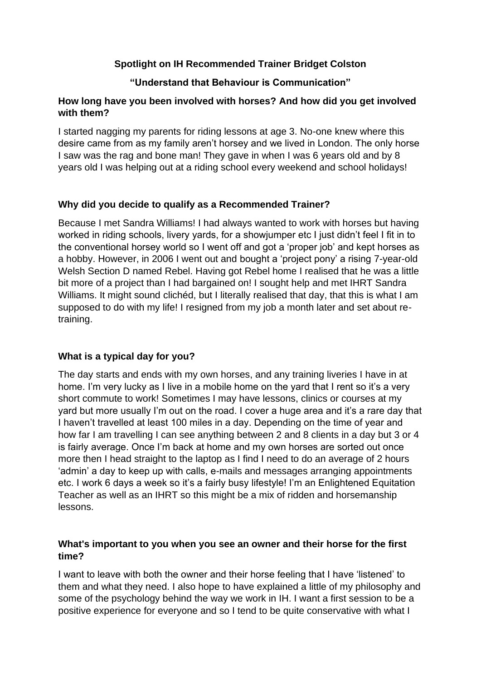### **Spotlight on IH Recommended Trainer Bridget Colston**

### **"Understand that Behaviour is Communication"**

### **How long have you been involved with horses? And how did you get involved with them?**

I started nagging my parents for riding lessons at age 3. No-one knew where this desire came from as my family aren't horsey and we lived in London. The only horse I saw was the rag and bone man! They gave in when I was 6 years old and by 8 years old I was helping out at a riding school every weekend and school holidays!

## **Why did you decide to qualify as a Recommended Trainer?**

Because I met Sandra Williams! I had always wanted to work with horses but having worked in riding schools, livery yards, for a showjumper etc I just didn't feel I fit in to the conventional horsey world so I went off and got a 'proper job' and kept horses as a hobby. However, in 2006 I went out and bought a 'project pony' a rising 7-year-old Welsh Section D named Rebel. Having got Rebel home I realised that he was a little bit more of a project than I had bargained on! I sought help and met IHRT Sandra Williams. It might sound clichéd, but I literally realised that day, that this is what I am supposed to do with my life! I resigned from my job a month later and set about retraining.

# **What is a typical day for you?**

The day starts and ends with my own horses, and any training liveries I have in at home. I'm very lucky as I live in a mobile home on the yard that I rent so it's a very short commute to work! Sometimes I may have lessons, clinics or courses at my yard but more usually I'm out on the road. I cover a huge area and it's a rare day that I haven't travelled at least 100 miles in a day. Depending on the time of year and how far I am travelling I can see anything between 2 and 8 clients in a day but 3 or 4 is fairly average. Once I'm back at home and my own horses are sorted out once more then I head straight to the laptop as I find I need to do an average of 2 hours 'admin' a day to keep up with calls, e-mails and messages arranging appointments etc. I work 6 days a week so it's a fairly busy lifestyle! I'm an Enlightened Equitation Teacher as well as an IHRT so this might be a mix of ridden and horsemanship lessons.

### **What's important to you when you see an owner and their horse for the first time?**

I want to leave with both the owner and their horse feeling that I have 'listened' to them and what they need. I also hope to have explained a little of my philosophy and some of the psychology behind the way we work in IH. I want a first session to be a positive experience for everyone and so I tend to be quite conservative with what I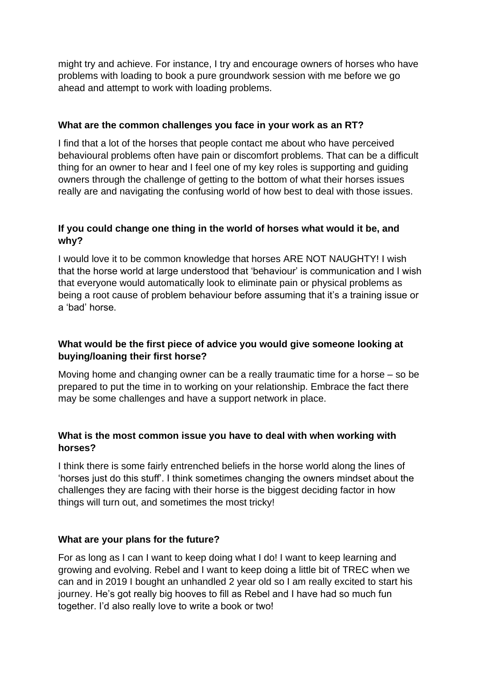might try and achieve. For instance, I try and encourage owners of horses who have problems with loading to book a pure groundwork session with me before we go ahead and attempt to work with loading problems.

#### **What are the common challenges you face in your work as an RT?**

I find that a lot of the horses that people contact me about who have perceived behavioural problems often have pain or discomfort problems. That can be a difficult thing for an owner to hear and I feel one of my key roles is supporting and guiding owners through the challenge of getting to the bottom of what their horses issues really are and navigating the confusing world of how best to deal with those issues.

### **If you could change one thing in the world of horses what would it be, and why?**

I would love it to be common knowledge that horses ARE NOT NAUGHTY! I wish that the horse world at large understood that 'behaviour' is communication and I wish that everyone would automatically look to eliminate pain or physical problems as being a root cause of problem behaviour before assuming that it's a training issue or a 'bad' horse.

### **What would be the first piece of advice you would give someone looking at buying/loaning their first horse?**

Moving home and changing owner can be a really traumatic time for a horse – so be prepared to put the time in to working on your relationship. Embrace the fact there may be some challenges and have a support network in place.

### **What is the most common issue you have to deal with when working with horses?**

I think there is some fairly entrenched beliefs in the horse world along the lines of 'horses just do this stuff'. I think sometimes changing the owners mindset about the challenges they are facing with their horse is the biggest deciding factor in how things will turn out, and sometimes the most tricky!

### **What are your plans for the future?**

For as long as I can I want to keep doing what I do! I want to keep learning and growing and evolving. Rebel and I want to keep doing a little bit of TREC when we can and in 2019 I bought an unhandled 2 year old so I am really excited to start his journey. He's got really big hooves to fill as Rebel and I have had so much fun together. I'd also really love to write a book or two!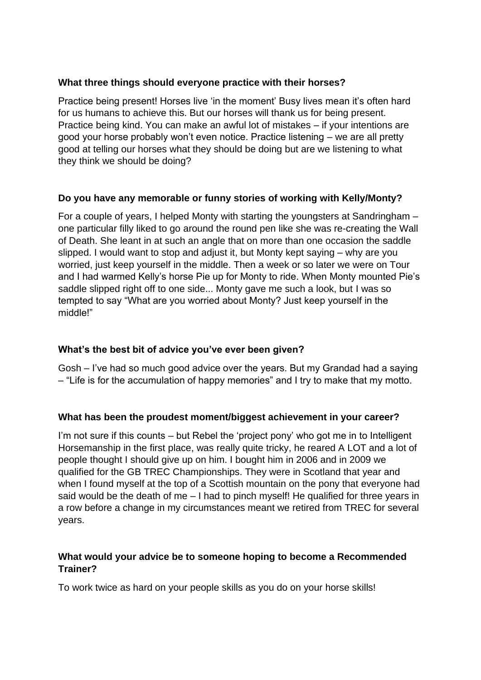#### **What three things should everyone practice with their horses?**

Practice being present! Horses live 'in the moment' Busy lives mean it's often hard for us humans to achieve this. But our horses will thank us for being present. Practice being kind. You can make an awful lot of mistakes – if your intentions are good your horse probably won't even notice. Practice listening – we are all pretty good at telling our horses what they should be doing but are we listening to what they think we should be doing?

### **Do you have any memorable or funny stories of working with Kelly/Monty?**

For a couple of years, I helped Monty with starting the youngsters at Sandringham – one particular filly liked to go around the round pen like she was re-creating the Wall of Death. She leant in at such an angle that on more than one occasion the saddle slipped. I would want to stop and adjust it, but Monty kept saying – why are you worried, just keep yourself in the middle. Then a week or so later we were on Tour and I had warmed Kelly's horse Pie up for Monty to ride. When Monty mounted Pie's saddle slipped right off to one side... Monty gave me such a look, but I was so tempted to say "What are you worried about Monty? Just keep yourself in the middle!"

# **What's the best bit of advice you've ever been given?**

Gosh – I've had so much good advice over the years. But my Grandad had a saying – "Life is for the accumulation of happy memories" and I try to make that my motto.

### **What has been the proudest moment/biggest achievement in your career?**

I'm not sure if this counts – but Rebel the 'project pony' who got me in to Intelligent Horsemanship in the first place, was really quite tricky, he reared A LOT and a lot of people thought I should give up on him. I bought him in 2006 and in 2009 we qualified for the GB TREC Championships. They were in Scotland that year and when I found myself at the top of a Scottish mountain on the pony that everyone had said would be the death of me – I had to pinch myself! He qualified for three years in a row before a change in my circumstances meant we retired from TREC for several years.

### **What would your advice be to someone hoping to become a Recommended Trainer?**

To work twice as hard on your people skills as you do on your horse skills!